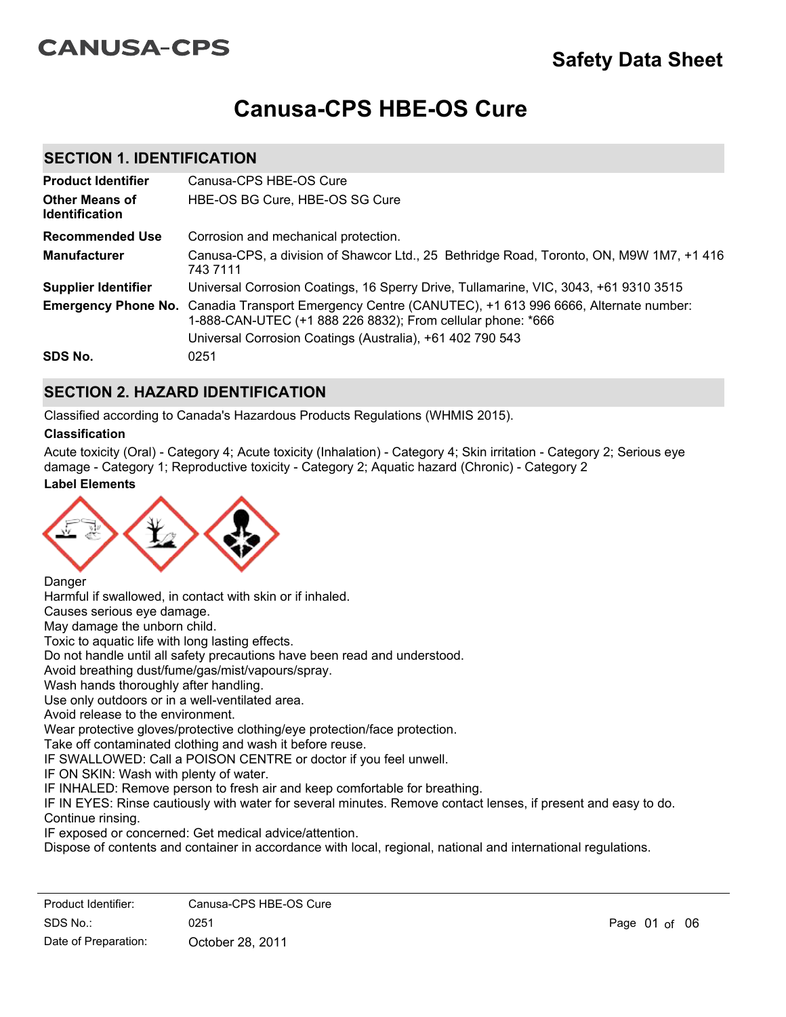# **CANUSA-CPS**

# **Safety Data Sheet**

# **Canusa-CPS HBE-OS Cure**

### **SECTION 1. IDENTIFICATION**

| <b>Product Identifier</b>                      | Canusa-CPS HBE-OS Cure                                                                                                                                                                                                           |
|------------------------------------------------|----------------------------------------------------------------------------------------------------------------------------------------------------------------------------------------------------------------------------------|
| <b>Other Means of</b><br><b>Identification</b> | HBE-OS BG Cure, HBE-OS SG Cure                                                                                                                                                                                                   |
| <b>Recommended Use</b>                         | Corrosion and mechanical protection.                                                                                                                                                                                             |
| <b>Manufacturer</b>                            | Canusa-CPS, a division of Shawcor Ltd., 25 Bethridge Road, Toronto, ON, M9W 1M7, +1 416<br>743 7111                                                                                                                              |
| <b>Supplier Identifier</b>                     | Universal Corrosion Coatings, 16 Sperry Drive, Tullamarine, VIC, 3043, +61 9310 3515                                                                                                                                             |
|                                                | Emergency Phone No. Canadia Transport Emergency Centre (CANUTEC), +1 613 996 6666, Alternate number:<br>1-888-CAN-UTEC (+1 888 226 8832); From cellular phone: *666<br>Universal Corrosion Coatings (Australia), +61 402 790 543 |
| SDS No.                                        | 0251                                                                                                                                                                                                                             |

### **SECTION 2. HAZARD IDENTIFICATION**

Classified according to Canada's Hazardous Products Regulations (WHMIS 2015).

### **Classification**

**Label Elements** Acute toxicity (Oral) - Category 4; Acute toxicity (Inhalation) - Category 4; Skin irritation - Category 2; Serious eye damage - Category 1; Reproductive toxicity - Category 2; Aquatic hazard (Chronic) - Category 2



**Danger** 

Harmful if swallowed, in contact with skin or if inhaled.

Causes serious eye damage.

May damage the unborn child.

Toxic to aquatic life with long lasting effects.

Do not handle until all safety precautions have been read and understood.

Avoid breathing dust/fume/gas/mist/vapours/spray.

Wash hands thoroughly after handling.

Use only outdoors or in a well-ventilated area.

Avoid release to the environment.

Wear protective gloves/protective clothing/eye protection/face protection.

Take off contaminated clothing and wash it before reuse.

IF SWALLOWED: Call a POISON CENTRE or doctor if you feel unwell.

IF ON SKIN: Wash with plenty of water.

IF INHALED: Remove person to fresh air and keep comfortable for breathing.

IF IN EYES: Rinse cautiously with water for several minutes. Remove contact lenses, if present and easy to do. Continue rinsing.

IF exposed or concerned: Get medical advice/attention.

Dispose of contents and container in accordance with local, regional, national and international regulations.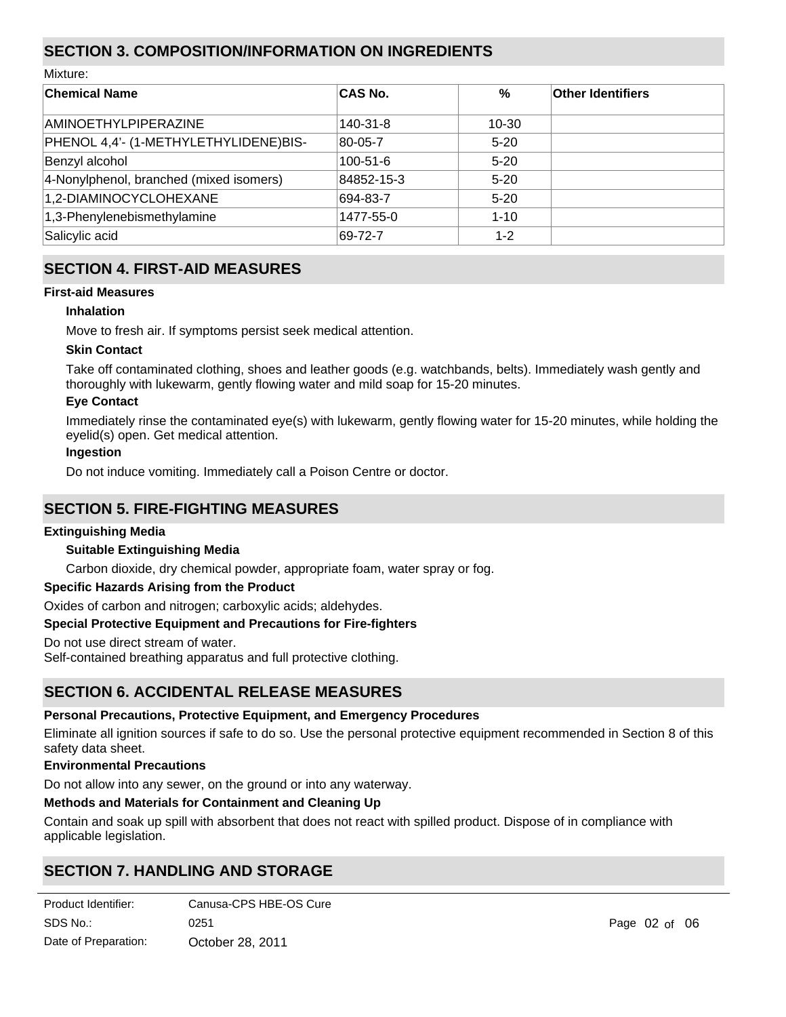# **SECTION 3. COMPOSITION/INFORMATION ON INGREDIENTS**

Mixture:

| <b>Chemical Name</b>                    | <b>CAS No.</b> | $\%$     | <b>Other Identifiers</b> |
|-----------------------------------------|----------------|----------|--------------------------|
| <b>AMINOETHYLPIPERAZINE</b>             | 140-31-8       | 10-30    |                          |
| PHENOL 4,4'- (1-METHYLETHYLIDENE)BIS-   | 80-05-7        | $5 - 20$ |                          |
| Benzyl alcohol                          | $100 - 51 - 6$ | $5 - 20$ |                          |
| 4-Nonylphenol, branched (mixed isomers) | 84852-15-3     | $5 - 20$ |                          |
| 1,2-DIAMINOCYCLOHEXANE                  | 694-83-7       | $5-20$   |                          |
| 1,3-Phenylenebismethylamine             | 1477-55-0      | $1 - 10$ |                          |
| Salicylic acid                          | 69-72-7        | $1 - 2$  |                          |

## **SECTION 4. FIRST-AID MEASURES**

### **First-aid Measures**

### **Inhalation**

Move to fresh air. If symptoms persist seek medical attention.

### **Skin Contact**

Take off contaminated clothing, shoes and leather goods (e.g. watchbands, belts). Immediately wash gently and thoroughly with lukewarm, gently flowing water and mild soap for 15-20 minutes.

### **Eye Contact**

Immediately rinse the contaminated eye(s) with lukewarm, gently flowing water for 15-20 minutes, while holding the eyelid(s) open. Get medical attention.

### **Ingestion**

Do not induce vomiting. Immediately call a Poison Centre or doctor.

## **SECTION 5. FIRE-FIGHTING MEASURES**

#### **Extinguishing Media**

### **Suitable Extinguishing Media**

Carbon dioxide, dry chemical powder, appropriate foam, water spray or fog.

### **Specific Hazards Arising from the Product**

Oxides of carbon and nitrogen; carboxylic acids; aldehydes.

### **Special Protective Equipment and Precautions for Fire-fighters**

Do not use direct stream of water.

Self-contained breathing apparatus and full protective clothing.

### **SECTION 6. ACCIDENTAL RELEASE MEASURES**

### **Personal Precautions, Protective Equipment, and Emergency Procedures**

Eliminate all ignition sources if safe to do so. Use the personal protective equipment recommended in Section 8 of this safety data sheet.

#### **Environmental Precautions**

Do not allow into any sewer, on the ground or into any waterway.

### **Methods and Materials for Containment and Cleaning Up**

Contain and soak up spill with absorbent that does not react with spilled product. Dispose of in compliance with applicable legislation.

# **SECTION 7. HANDLING AND STORAGE**

**Product Identifier:** SDS No.: Date of Preparation:  $0251$  Page 02 of 06 October 28, 2011 Canusa-CPS HBE-OS Cure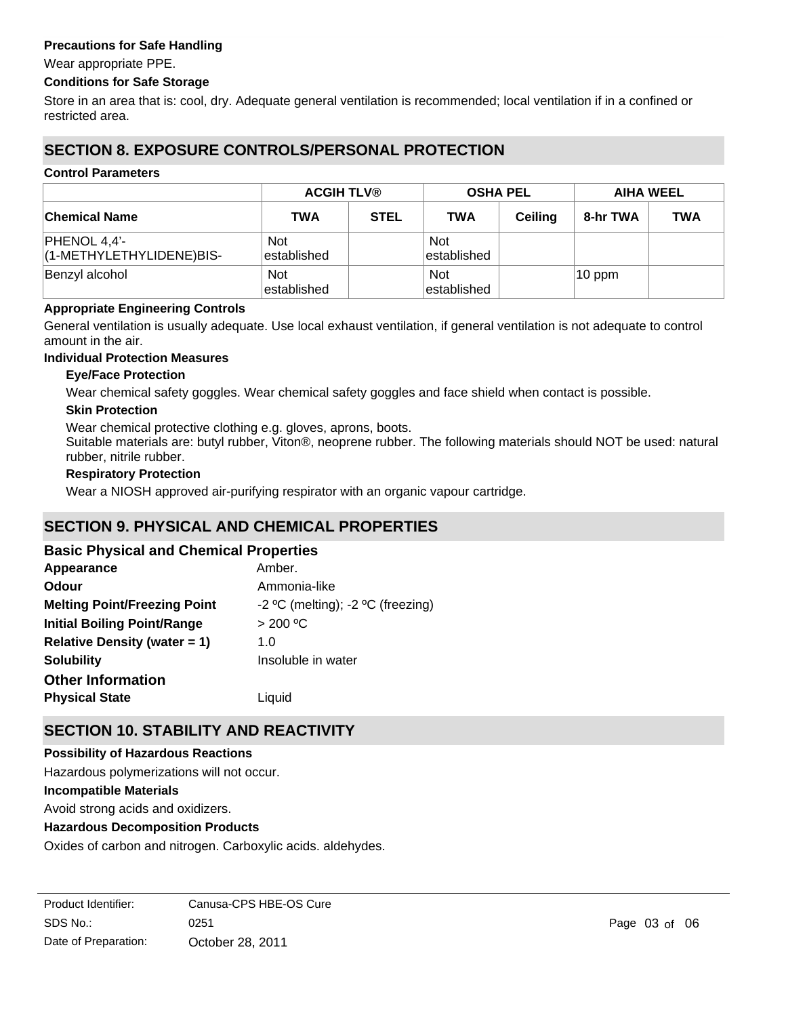### **Precautions for Safe Handling**

Wear appropriate PPE.

### **Conditions for Safe Storage**

Store in an area that is: cool, dry. Adequate general ventilation is recommended; local ventilation if in a confined or restricted area.

# **SECTION 8. EXPOSURE CONTROLS/PERSONAL PROTECTION**

#### **Control Parameters**

|                                            | <b>ACGIH TLV®</b>          |             | <b>OSHA PEL</b>            |                | <b>AIHA WEEL</b> |            |
|--------------------------------------------|----------------------------|-------------|----------------------------|----------------|------------------|------------|
| <b>Chemical Name</b>                       | <b>TWA</b>                 | <b>STEL</b> | <b>TWA</b>                 | <b>Ceiling</b> | 8-hr TWA         | <b>TWA</b> |
| $PHENOL 4,4'-$<br>(1-METHYLETHYLIDENE)BIS- | <b>Not</b><br>lestablished |             | <b>Not</b><br>lestablished |                |                  |            |
| Benzyl alcohol                             | <b>Not</b><br>lestablished |             | <b>Not</b><br>lestablished |                | $10$ ppm         |            |

#### **Appropriate Engineering Controls**

General ventilation is usually adequate. Use local exhaust ventilation, if general ventilation is not adequate to control amount in the air.

#### **Individual Protection Measures**

### **Eye/Face Protection**

Wear chemical safety goggles. Wear chemical safety goggles and face shield when contact is possible.

### **Skin Protection**

Wear chemical protective clothing e.g. gloves, aprons, boots.

Suitable materials are: butyl rubber, Viton®, neoprene rubber. The following materials should NOT be used: natural rubber, nitrile rubber.

#### **Respiratory Protection**

Wear a NIOSH approved air-purifying respirator with an organic vapour cartridge.

# **SECTION 9. PHYSICAL AND CHEMICAL PROPERTIES**

### **Basic Physical and Chemical Properties**

| Appearance                          | Amber.                            |
|-------------------------------------|-----------------------------------|
| <b>Odour</b>                        | Ammonia-like                      |
| <b>Melting Point/Freezing Point</b> | -2 °C (melting); -2 °C (freezing) |
| <b>Initial Boiling Point/Range</b>  | > 200 °C                          |
| <b>Relative Density (water = 1)</b> | 1.0                               |
| <b>Solubility</b>                   | Insoluble in water                |
| <b>Other Information</b>            |                                   |
| <b>Physical State</b>               | Liguid                            |

## **SECTION 10. STABILITY AND REACTIVITY**

#### **Possibility of Hazardous Reactions**

**Incompatible Materials** Avoid strong acids and oxidizers. **Hazardous Decomposition Products** Oxides of carbon and nitrogen. Carboxylic acids. aldehydes. Hazardous polymerizations will not occur.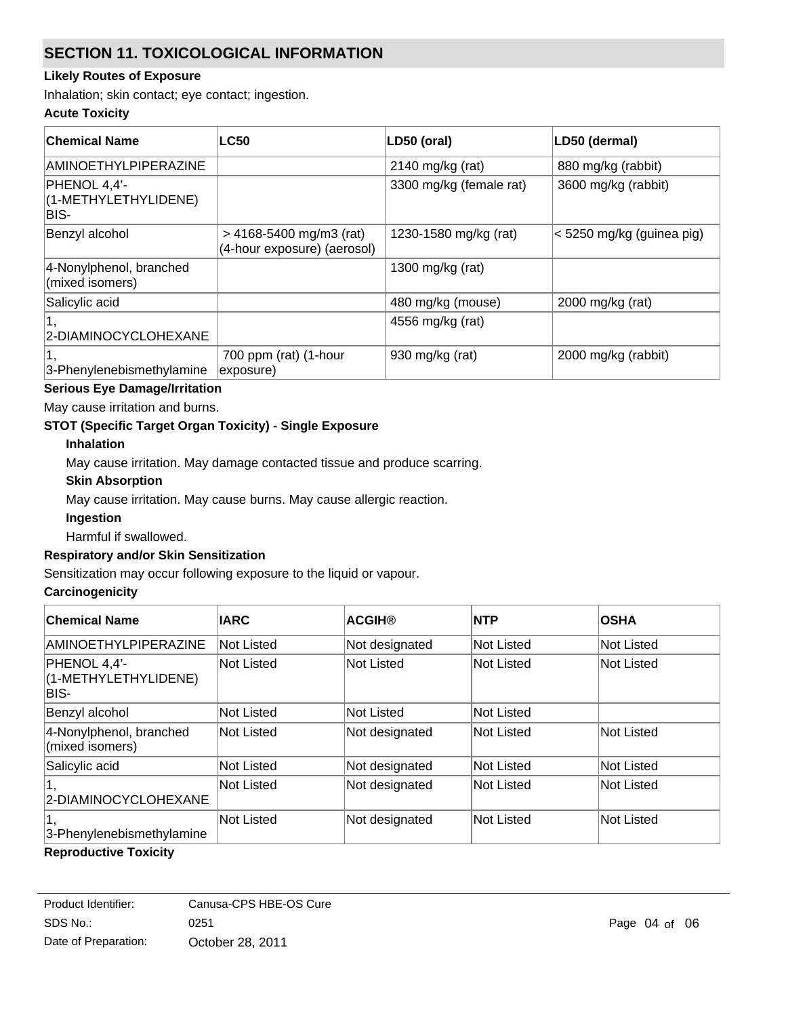# **SECTION 11. TOXICOLOGICAL INFORMATION**

### **Likely Routes of Exposure**

Inhalation; skin contact; eye contact; ingestion.

### **Acute Toxicity**

| ∣Chemical Name                               | <b>LC50</b>                                              | LD50 (oral)             | LD50 (dermal)             |
|----------------------------------------------|----------------------------------------------------------|-------------------------|---------------------------|
| <b>AMINOETHYLPIPERAZINE</b>                  |                                                          | $2140$ mg/kg (rat)      | 880 mg/kg (rabbit)        |
| PHENOL 4,4'-<br>(1-METHYLETHYLIDENE)<br>BIS- |                                                          | 3300 mg/kg (female rat) | 3600 mg/kg (rabbit)       |
| Benzyl alcohol                               | $>$ 4168-5400 mg/m3 (rat)<br>(4-hour exposure) (aerosol) | 1230-1580 mg/kg (rat)   | < 5250 mg/kg (guinea pig) |
| 4-Nonylphenol, branched<br>(mixed isomers)   |                                                          | 1300 mg/kg (rat)        |                           |
| Salicylic acid                               |                                                          | 480 mg/kg (mouse)       | 2000 mg/kg (rat)          |
| 2-DIAMINOCYCLOHEXANE                         |                                                          | 4556 mg/kg (rat)        |                           |
| 3-Phenylenebismethylamine                    | 700 ppm (rat) (1-hour<br>exposure)                       | 930 mg/kg (rat)         | 2000 mg/kg (rabbit)       |

### **Serious Eye Damage/Irritation**

May cause irritation and burns.

### **STOT (Specific Target Organ Toxicity) - Single Exposure**

### **Inhalation**

May cause irritation. May damage contacted tissue and produce scarring.

### **Skin Absorption**

May cause irritation. May cause burns. May cause allergic reaction.

#### **Ingestion**

Harmful if swallowed.

### **Respiratory and/or Skin Sensitization**

Sensitization may occur following exposure to the liquid or vapour.

#### **Carcinogenicity**

| <b>Chemical Name</b>                         | <b>IARC</b> | <b>ACGIH®</b>  | <b>NTP</b> | <b>OSHA</b> |
|----------------------------------------------|-------------|----------------|------------|-------------|
| <b>AMINOETHYLPIPERAZINE</b>                  | Not Listed  | Not designated | Not Listed | Not Listed  |
| PHENOL 4,4'-<br>(1-METHYLETHYLIDENE)<br>BIS- | Not Listed  | Not Listed     | Not Listed | Not Listed  |
| Benzyl alcohol                               | Not Listed  | Not Listed     | Not Listed |             |
| 4-Nonylphenol, branched<br>(mixed isomers)   | Not Listed  | Not designated | Not Listed | Not Listed  |
| Salicylic acid                               | Not Listed  | Not designated | Not Listed | Not Listed  |
| 2-DIAMINOCYCLOHEXANE                         | Not Listed  | Not designated | Not Listed | Not Listed  |
| 3-Phenylenebismethylamine                    | Not Listed  | Not designated | Not Listed | Not Listed  |

#### **Reproductive Toxicity**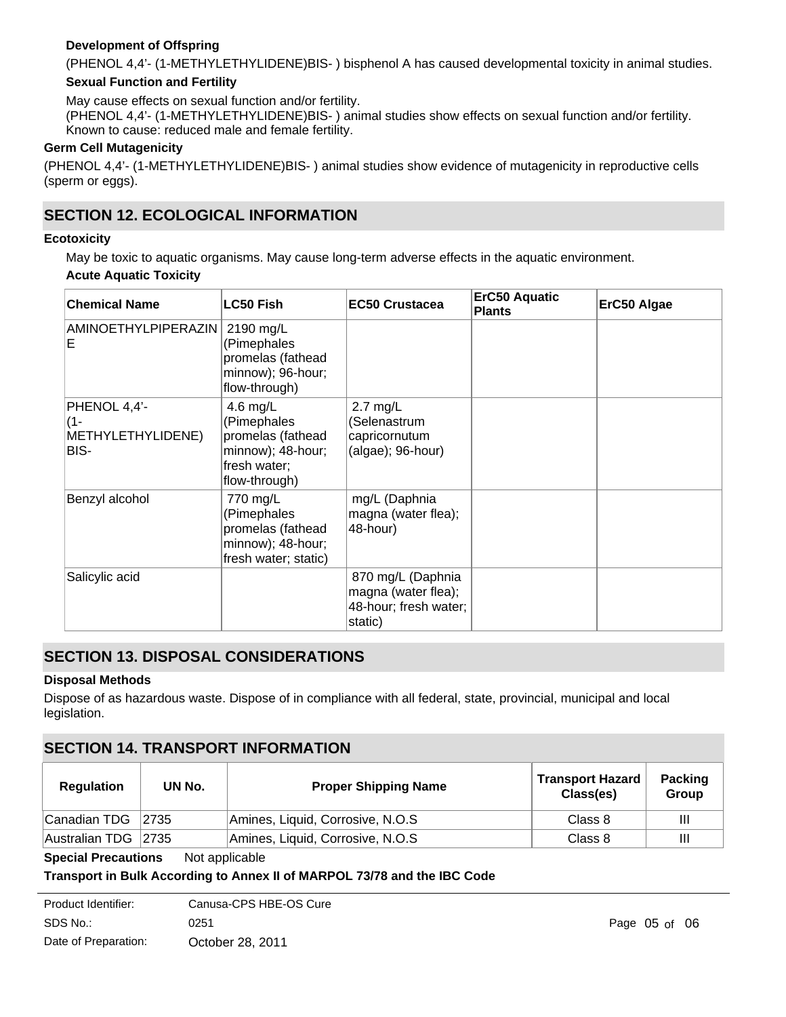### **Development of Offspring**

(PHENOL 4,4'- (1-METHYLETHYLIDENE)BIS- ) bisphenol A has caused developmental toxicity in animal studies.

### **Sexual Function and Fertility**

May cause effects on sexual function and/or fertility.

(PHENOL 4,4'- (1-METHYLETHYLIDENE)BIS- ) animal studies show effects on sexual function and/or fertility. Known to cause: reduced male and female fertility.

### **Germ Cell Mutagenicity**

(PHENOL 4,4'- (1-METHYLETHYLIDENE)BIS- ) animal studies show evidence of mutagenicity in reproductive cells (sperm or eggs).

## **SECTION 12. ECOLOGICAL INFORMATION**

### **Ecotoxicity**

May be toxic to aquatic organisms. May cause long-term adverse effects in the aquatic environment.

### **Acute Aquatic Toxicity**

| <b>Chemical Name</b>                             | <b>LC50 Fish</b>                                                                                   | <b>EC50 Crustacea</b>                                                        | <b>ErC50 Aquatic</b><br><b>Plants</b> | ErC50 Algae |
|--------------------------------------------------|----------------------------------------------------------------------------------------------------|------------------------------------------------------------------------------|---------------------------------------|-------------|
| <b>AMINOETHYLPIPERAZIN</b><br>Е                  | 2190 mg/L<br>(Pimephales<br>promelas (fathead<br>minnow); 96-hour;<br>flow-through)                |                                                                              |                                       |             |
| PHENOL 4,4'-<br>(1-<br>METHYLETHYLIDENE)<br>BIS- | 4.6 mg/L<br>(Pimephales<br>promelas (fathead<br>minnow); 48-hour;<br>fresh water;<br>flow-through) | $2.7$ mg/L<br>(Selenastrum<br>capricornutum<br>$(algae)$ ; 96-hour)          |                                       |             |
| Benzyl alcohol                                   | 770 mg/L<br>(Pimephales<br>promelas (fathead<br>minnow); 48-hour;<br>fresh water; static)          | mg/L (Daphnia<br>magna (water flea);<br>48-hour)                             |                                       |             |
| Salicylic acid                                   |                                                                                                    | 870 mg/L (Daphnia<br>magna (water flea);<br>48-hour; fresh water;<br>static) |                                       |             |

# **SECTION 13. DISPOSAL CONSIDERATIONS**

### **Disposal Methods**

Dispose of as hazardous waste. Dispose of in compliance with all federal, state, provincial, municipal and local legislation.

## **SECTION 14. TRANSPORT INFORMATION**

| <b>Regulation</b>   | UN No. | <b>Proper Shipping Name</b>      | <b>Transport Hazard</b><br>Class(es) | <b>Packing</b><br>Group |
|---------------------|--------|----------------------------------|--------------------------------------|-------------------------|
| ∣Canadian TDG       | 2735   | Amines, Liquid, Corrosive, N.O.S | Class 8                              | Ш                       |
| Australian TDG 2735 |        | Amines, Liquid, Corrosive, N.O.S | Class 8                              | Ш                       |

**Special Precautions** Not applicable

### **Transport in Bulk According to Annex II of MARPOL 73/78 and the IBC Code**

| Product Identifier:  | Canusa-CPS HBE-OS Cure |
|----------------------|------------------------|
| SDS No.:             | 0251                   |
| Date of Preparation: | October 28, 2011       |